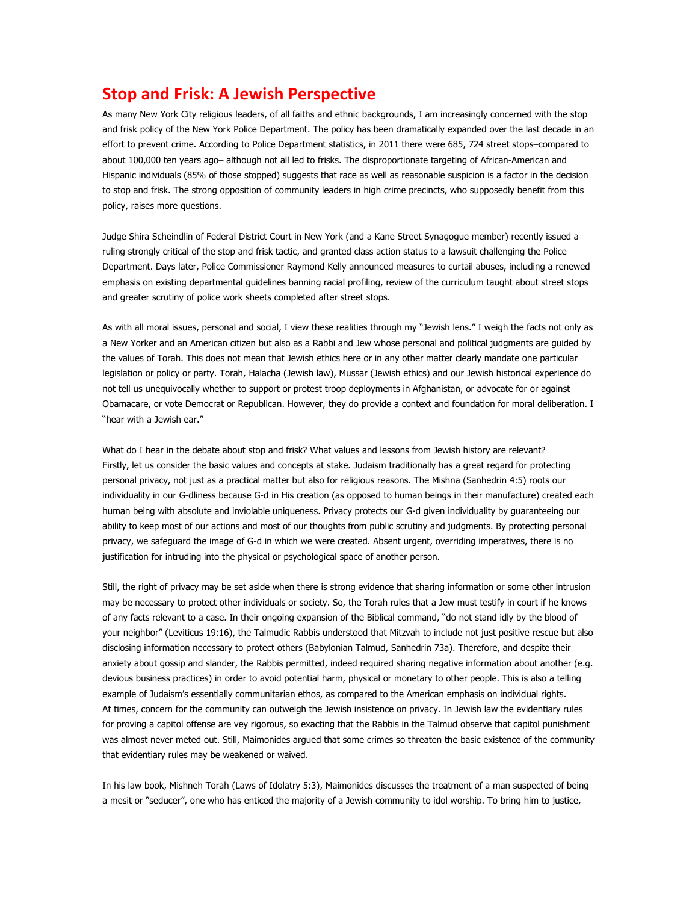## **Stop and Frisk: A Jewish Perspective**

As many New York City religious leaders, of all faiths and ethnic backgrounds, I am increasingly concerned with the stop and frisk policy of the New York Police Department. The policy has been dramatically expanded over the last decade in an effort to prevent crime. According to Police Department statistics, in 2011 there were 685, 724 street stops–compared to about 100,000 ten years ago– although not all led to frisks. The disproportionate targeting of African-American and Hispanic individuals (85% of those stopped) suggests that race as well as reasonable suspicion is a factor in the decision to stop and frisk. The strong opposition of community leaders in high crime precincts, who supposedly benefit from this policy, raises more questions.

Judge Shira Scheindlin of Federal District Court in New York (and a Kane Street Synagogue member) recently issued a ruling strongly critical of the stop and frisk tactic, and granted class action status to a lawsuit challenging the Police Department. Days later, Police Commissioner Raymond Kelly announced measures to curtail abuses, including a renewed emphasis on existing departmental guidelines banning racial profiling, review of the curriculum taught about street stops and greater scrutiny of police work sheets completed after street stops.

As with all moral issues, personal and social, I view these realities through my "Jewish lens." I weigh the facts not only as a New Yorker and an American citizen but also as a Rabbi and Jew whose personal and political judgments are guided by the values of Torah. This does not mean that Jewish ethics here or in any other matter clearly mandate one particular legislation or policy or party. Torah, Halacha (Jewish law), Mussar (Jewish ethics) and our Jewish historical experience do not tell us unequivocally whether to support or protest troop deployments in Afghanistan, or advocate for or against Obamacare, or vote Democrat or Republican. However, they do provide a context and foundation for moral deliberation. I "hear with a Jewish ear."

What do I hear in the debate about stop and frisk? What values and lessons from Jewish history are relevant? Firstly, let us consider the basic values and concepts at stake. Judaism traditionally has a great regard for protecting personal privacy, not just as a practical matter but also for religious reasons. The Mishna (Sanhedrin 4:5) roots our individuality in our G-dliness because G-d in His creation (as opposed to human beings in their manufacture) created each human being with absolute and inviolable uniqueness. Privacy protects our G-d given individuality by guaranteeing our ability to keep most of our actions and most of our thoughts from public scrutiny and judgments. By protecting personal privacy, we safeguard the image of G-d in which we were created. Absent urgent, overriding imperatives, there is no justification for intruding into the physical or psychological space of another person.

Still, the right of privacy may be set aside when there is strong evidence that sharing information or some other intrusion may be necessary to protect other individuals or society. So, the Torah rules that a Jew must testify in court if he knows of any facts relevant to a case. In their ongoing expansion of the Biblical command, "do not stand idly by the blood of your neighbor" (Leviticus 19:16), the Talmudic Rabbis understood that Mitzvah to include not just positive rescue but also disclosing information necessary to protect others (Babylonian Talmud, Sanhedrin 73a). Therefore, and despite their anxiety about gossip and slander, the Rabbis permitted, indeed required sharing negative information about another (e.g. devious business practices) in order to avoid potential harm, physical or monetary to other people. This is also a telling example of Judaism's essentially communitarian ethos, as compared to the American emphasis on individual rights. At times, concern for the community can outweigh the Jewish insistence on privacy. In Jewish law the evidentiary rules for proving a capitol offense are vey rigorous, so exacting that the Rabbis in the Talmud observe that capitol punishment was almost never meted out. Still, Maimonides argued that some crimes so threaten the basic existence of the community that evidentiary rules may be weakened or waived.

In his law book, Mishneh Torah (Laws of Idolatry 5:3), Maimonides discusses the treatment of a man suspected of being a mesit or "seducer", one who has enticed the majority of a Jewish community to idol worship. To bring him to justice,